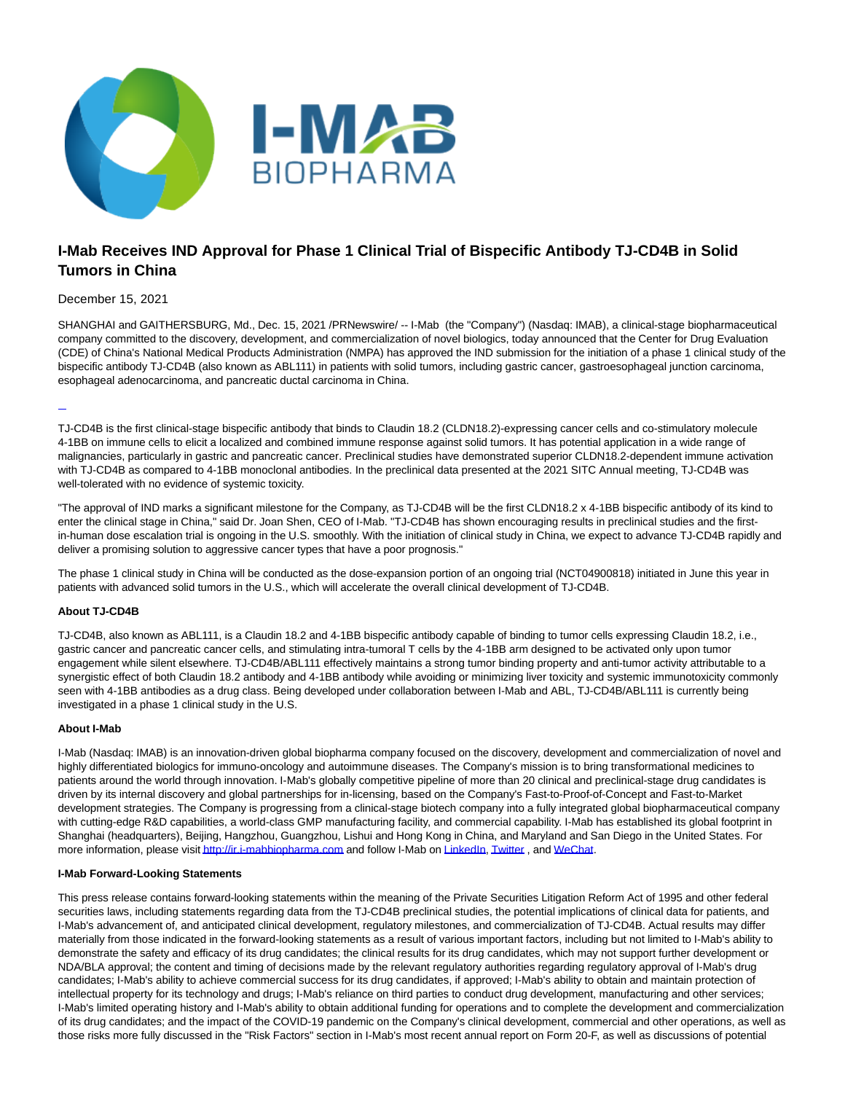

# **I-Mab Receives IND Approval for Phase 1 Clinical Trial of Bispecific Antibody TJ-CD4B in Solid Tumors in China**

## December 15, 2021

SHANGHAI and GAITHERSBURG, Md., Dec. 15, 2021 /PRNewswire/ -- I-Mab (the "Company") (Nasdaq: IMAB), a clinical-stage biopharmaceutical company committed to the discovery, development, and commercialization of novel biologics, today announced that the Center for Drug Evaluation (CDE) of China's National Medical Products Administration (NMPA) has approved the IND submission for the initiation of a phase 1 clinical study of the bispecific antibody TJ-CD4B (also known as ABL111) in patients with solid tumors, including gastric cancer, gastroesophageal junction carcinoma, esophageal adenocarcinoma, and pancreatic ductal carcinoma in China.

L

TJ-CD4B is the first clinical-stage bispecific antibody that binds to Claudin 18.2 (CLDN18.2)-expressing cancer cells and co-stimulatory molecule 4-1BB on immune cells to elicit a localized and combined immune response against solid tumors. It has potential application in a wide range of malignancies, particularly in gastric and pancreatic cancer. Preclinical studies have demonstrated superior CLDN18.2-dependent immune activation with TJ-CD4B as compared to 4-1BB monoclonal antibodies. In the preclinical data presented at the 2021 SITC Annual meeting, TJ-CD4B was well-tolerated with no evidence of systemic toxicity.

"The approval of IND marks a significant milestone for the Company, as TJ-CD4B will be the first CLDN18.2 x 4-1BB bispecific antibody of its kind to enter the clinical stage in China," said Dr. Joan Shen, CEO of I-Mab. "TJ-CD4B has shown encouraging results in preclinical studies and the firstin-human dose escalation trial is ongoing in the U.S. smoothly. With the initiation of clinical study in China, we expect to advance TJ-CD4B rapidly and deliver a promising solution to aggressive cancer types that have a poor prognosis."

The phase 1 clinical study in China will be conducted as the dose-expansion portion of an ongoing trial (NCT04900818) initiated in June this year in patients with advanced solid tumors in the U.S., which will accelerate the overall clinical development of TJ-CD4B.

### **About TJ-CD4B**

TJ-CD4B, also known as ABL111, is a Claudin 18.2 and 4-1BB bispecific antibody capable of binding to tumor cells expressing Claudin 18.2, i.e., gastric cancer and pancreatic cancer cells, and stimulating intra-tumoral T cells by the 4-1BB arm designed to be activated only upon tumor engagement while silent elsewhere. TJ-CD4B/ABL111 effectively maintains a strong tumor binding property and anti-tumor activity attributable to a synergistic effect of both Claudin 18.2 antibody and 4-1BB antibody while avoiding or minimizing liver toxicity and systemic immunotoxicity commonly seen with 4-1BB antibodies as a drug class. Being developed under collaboration between I-Mab and ABL, TJ-CD4B/ABL111 is currently being investigated in a phase 1 clinical study in the U.S.

### **About I-Mab**

I-Mab (Nasdaq: IMAB) is an innovation-driven global biopharma company focused on the discovery, development and commercialization of novel and highly differentiated biologics for immuno-oncology and autoimmune diseases. The Company's mission is to bring transformational medicines to patients around the world through innovation. I-Mab's globally competitive pipeline of more than 20 clinical and preclinical-stage drug candidates is driven by its internal discovery and global partnerships for in-licensing, based on the Company's Fast-to-Proof-of-Concept and Fast-to-Market development strategies. The Company is progressing from a clinical-stage biotech company into a fully integrated global biopharmaceutical company with cutting-edge R&D capabilities, a world-class GMP manufacturing facility, and commercial capability. I-Mab has established its global footprint in Shanghai (headquarters), Beijing, Hangzhou, Guangzhou, Lishui and Hong Kong in China, and Maryland and San Diego in the United States. For more information, please visi[t http://ir.i-mabbiopharma.com a](http://ir.i-mabbiopharma.com/)nd follow I-Mab on [LinkedIn,](https://www.linkedin.com/company/i-mab/) [Twitter ,](https://twitter.com/IMabBiopharma) and [WeChat.](https://mp.weixin.qq.com/s/_s634aizyQPuq1Vgf-hLGA)

### **I-Mab Forward-Looking Statements**

This press release contains forward-looking statements within the meaning of the Private Securities Litigation Reform Act of 1995 and other federal securities laws, including statements regarding data from the TJ-CD4B preclinical studies, the potential implications of clinical data for patients, and I-Mab's advancement of, and anticipated clinical development, regulatory milestones, and commercialization of TJ-CD4B. Actual results may differ materially from those indicated in the forward-looking statements as a result of various important factors, including but not limited to I-Mab's ability to demonstrate the safety and efficacy of its drug candidates; the clinical results for its drug candidates, which may not support further development or NDA/BLA approval; the content and timing of decisions made by the relevant regulatory authorities regarding regulatory approval of I-Mab's drug candidates; I-Mab's ability to achieve commercial success for its drug candidates, if approved; I-Mab's ability to obtain and maintain protection of intellectual property for its technology and drugs; I-Mab's reliance on third parties to conduct drug development, manufacturing and other services; I-Mab's limited operating history and I-Mab's ability to obtain additional funding for operations and to complete the development and commercialization of its drug candidates; and the impact of the COVID-19 pandemic on the Company's clinical development, commercial and other operations, as well as those risks more fully discussed in the "Risk Factors" section in I-Mab's most recent annual report on Form 20-F, as well as discussions of potential